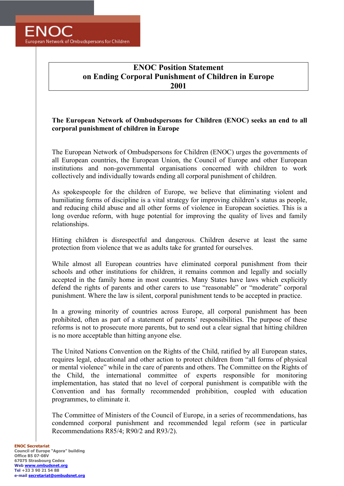**FNOC** European Network of Ombudspersons for Children

## **ENOC Position Statement on Ending Corporal Punishment of Children in Europe 2001**

## The European Network of Ombudspersons for Children (ENOC) seeks an end to all **corporal punishment of children in Europe**

The European Network of Ombudspersons for Children (ENOC) urges the governments of all European countries, the European Union, the Council of Europe and other European institutions and non-governmental organisations concerned with children to work collectively and individually towards ending all corporal punishment of children.

As spokespeople for the children of Europe, we believe that eliminating violent and humiliating forms of discipline is a vital strategy for improving children's status as people, and reducing child abuse and all other forms of violence in European societies. This is a long overdue reform, with huge potential for improving the quality of lives and family relationships.

Hitting children is disrespectful and dangerous. Children deserve at least the same protection from violence that we as adults take for granted for ourselves.

While almost all European countries have eliminated corporal punishment from their schools and other institutions for children, it remains common and legally and socially accepted in the family home in most countries. Many States have laws which explicitly defend the rights of parents and other carers to use "reasonable" or "moderate" corporal punishment. Where the law is silent, corporal punishment tends to be accepted in practice.

In a growing minority of countries across Europe, all corporal punishment has been prohibited, often as part of a statement of parents' responsibilities. The purpose of these reforms is not to prosecute more parents, but to send out a clear signal that hitting children is no more acceptable than hitting anyone else.

The United Nations Convention on the Rights of the Child, ratified by all European states, requires legal, educational and other action to protect children from "all forms of physical or mental violence" while in the care of parents and others. The Committee on the Rights of the Child, the international committee of experts responsible for monitoring implementation, has stated that no level of corporal punishment is compatible with the Convention and has formally recommended prohibition, coupled with education programmes, to eliminate it.

The Committee of Ministers of the Council of Europe, in a series of recommendations, has condemned corporal punishment and recommended legal reform (see in particular Recommendations R85/4; R90/2 and R93/2).